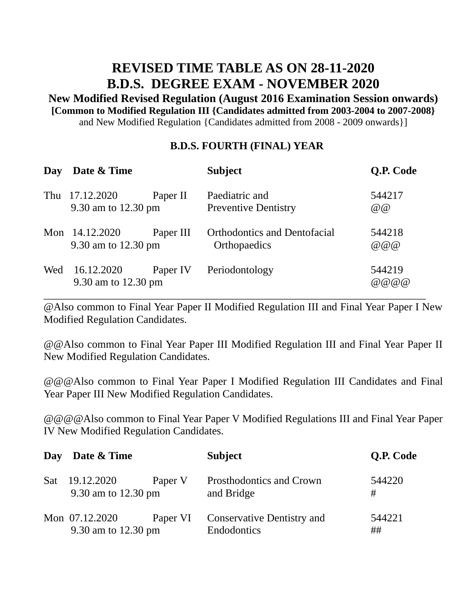## **REVISED TIME TABLE AS ON 28-11-2020 B.D.S. DEGREE EXAM - NOVEMBER 2020**

**New Modified Revised Regulation (August 2016 Examination Session onwards) [Common to Modified Regulation III {Candidates admitted from 2003-2004 to 2007-2008}** and New Modified Regulation {Candidates admitted from 2008 - 2009 onwards}]

## **B.D.S. FOURTH (FINAL) YEAR**

| Day | Date & Time                       |           | <b>Subject</b>                                      | Q.P. Code           |
|-----|-----------------------------------|-----------|-----------------------------------------------------|---------------------|
| Thu | 17.12.2020<br>9.30 am to 12.30 pm | Paper II  | Paediatric and<br><b>Preventive Dentistry</b>       | 544217<br>@         |
| Mon | 14.12.2020<br>9.30 am to 12.30 pm | Paper III | <b>Orthodontics and Dentofacial</b><br>Orthopaedics | 544218<br>@ @ @     |
| Wed | 16.12.2020<br>9.30 am to 12.30 pm | Paper IV  | Periodontology                                      | 544219<br>@ @ @ @ @ |

@Also common to Final Year Paper II Modified Regulation III and Final Year Paper I New Modified Regulation Candidates.

@@Also common to Final Year Paper III Modified Regulation III and Final Year Paper II New Modified Regulation Candidates.

@@@Also common to Final Year Paper I Modified Regulation III Candidates and Final Year Paper III New Modified Regulation Candidates.

@@@@Also common to Final Year Paper V Modified Regulations III and Final Year Paper IV New Modified Regulation Candidates.

|     | Day Date & Time                       |          | <b>Subject</b>                                   | <b>Q.P. Code</b> |
|-----|---------------------------------------|----------|--------------------------------------------------|------------------|
| Sat | 19.12.2020<br>9.30 am to 12.30 pm     | Paper V  | Prosthodontics and Crown<br>and Bridge           | 544220<br>#      |
|     | Mon 07.12.2020<br>9.30 am to 12.30 pm | Paper VI | <b>Conservative Dentistry and</b><br>Endodontics | 544221<br>##     |